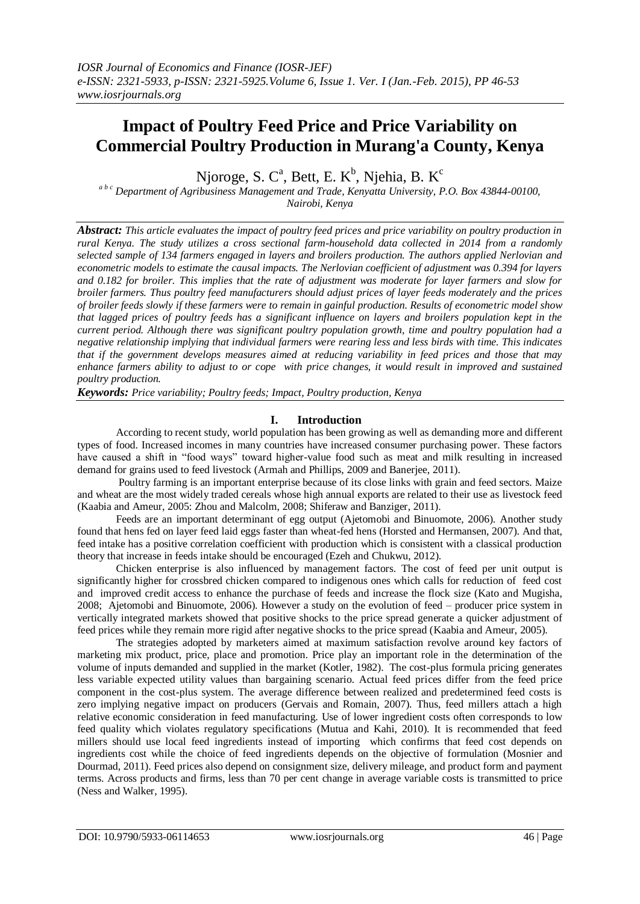# **Impact of Poultry Feed Price and Price Variability on Commercial Poultry Production in Murang'a County, Kenya**

Njoroge, S. C<sup>a</sup>, Bett, E. K<sup>b</sup>, Njehia, B. K<sup>c</sup>

*<sup>a</sup> b c Department of Agribusiness Management and Trade, Kenyatta University, P.O. Box 43844-00100, Nairobi, Kenya*

*Abstract: This article evaluates the impact of poultry feed prices and price variability on poultry production in rural Kenya. The study utilizes a cross sectional farm-household data collected in 2014 from a randomly selected sample of 134 farmers engaged in layers and broilers production. The authors applied Nerlovian and econometric models to estimate the causal impacts. The Nerlovian coefficient of adjustment was 0.394 for layers and 0.182 for broiler. This implies that the rate of adjustment was moderate for layer farmers and slow for broiler farmers. Thus poultry feed manufacturers should adjust prices of layer feeds moderately and the prices of broiler feeds slowly if these farmers were to remain in gainful production. Results of econometric model show that lagged prices of poultry feeds has a significant influence on layers and broilers population kept in the current period. Although there was significant poultry population growth, time and poultry population had a negative relationship implying that individual farmers were rearing less and less birds with time. This indicates that if the government develops measures aimed at reducing variability in feed prices and those that may enhance farmers ability to adjust to or cope with price changes, it would result in improved and sustained poultry production.*

*Keywords: Price variability; Poultry feeds; Impact, Poultry production, Kenya*

# **I. Introduction**

According to recent study, world population has been growing as well as demanding more and different types of food. Increased incomes in many countries have increased consumer purchasing power. These factors have caused a shift in "food ways" toward higher-value food such as meat and milk resulting in increased demand for grains used to feed livestock (Armah and Phillips, 2009 and Banerjee, 2011).

Poultry farming is an important enterprise because of its close links with grain and feed sectors. Maize and wheat are the most widely traded cereals whose high annual exports are related to their use as livestock feed (Kaabia and Ameur, 2005: Zhou and Malcolm, 2008; Shiferaw and Banziger, 2011).

Feeds are an important determinant of egg output (Ajetomobi and Binuomote, 2006). Another study found that hens fed on layer feed laid eggs faster than wheat-fed hens (Horsted and Hermansen, 2007). And that, feed intake has a positive correlation coefficient with production which is consistent with a classical production theory that increase in feeds intake should be encouraged (Ezeh and Chukwu, 2012).

Chicken enterprise is also influenced by management factors. The cost of feed per unit output is significantly higher for crossbred chicken compared to indigenous ones which calls for reduction of feed cost and improved credit access to enhance the purchase of feeds and increase the flock size (Kato and Mugisha, 2008; Ajetomobi and Binuomote, 2006). However a study on the evolution of feed – producer price system in vertically integrated markets showed that positive shocks to the price spread generate a quicker adjustment of feed prices while they remain more rigid after negative shocks to the price spread (Kaabia and Ameur, 2005).

The strategies adopted by marketers aimed at maximum satisfaction revolve around key factors of marketing mix product, price, place and promotion. Price play an important role in the determination of the volume of inputs demanded and supplied in the market (Kotler, 1982). The cost-plus formula pricing generates less variable expected utility values than bargaining scenario. Actual feed prices differ from the feed price component in the cost-plus system. The average difference between realized and predetermined feed costs is zero implying negative impact on producers (Gervais and Romain, 2007). Thus, feed millers attach a high relative economic consideration in feed manufacturing. Use of lower ingredient costs often corresponds to low feed quality which violates regulatory specifications (Mutua and Kahi, 2010). It is recommended that feed millers should use local feed ingredients instead of importing which confirms that feed cost depends on ingredients cost while the choice of feed ingredients depends on the objective of formulation (Mosnier and Dourmad, 2011). Feed prices also depend on consignment size, delivery mileage, and product form and payment terms. Across products and firms, less than 70 per cent change in average variable costs is transmitted to price (Ness and Walker, 1995).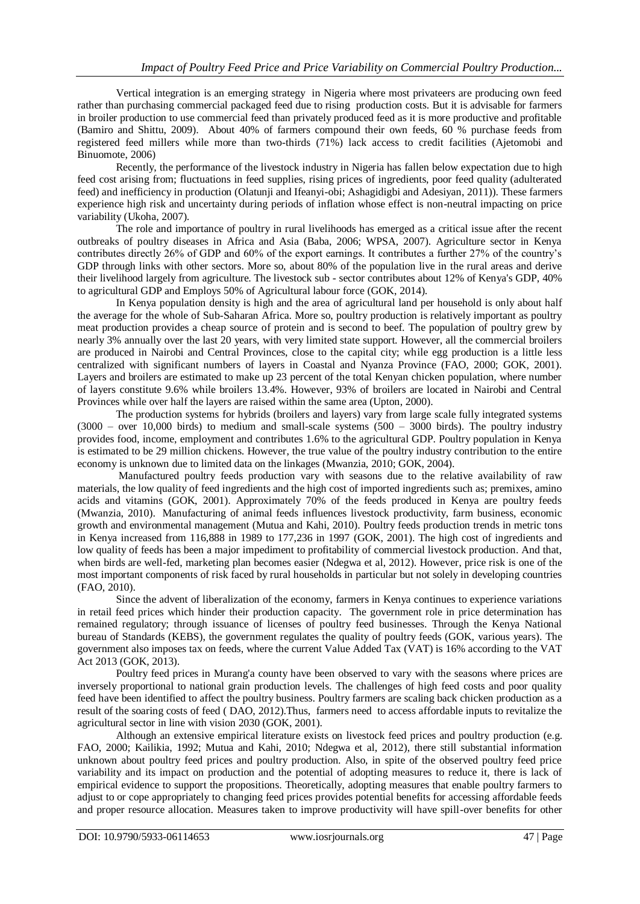Vertical integration is an emerging strategy in Nigeria where most privateers are producing own feed rather than purchasing commercial packaged feed due to rising production costs. But it is advisable for farmers in broiler production to use commercial feed than privately produced feed as it is more productive and profitable (Bamiro and Shittu, 2009). About 40% of farmers compound their own feeds, 60 % purchase feeds from registered feed millers while more than two-thirds (71%) lack access to credit facilities (Ajetomobi and Binuomote, 2006)

Recently, the performance of the livestock industry in Nigeria has fallen below expectation due to high feed cost arising from; fluctuations in feed supplies, rising prices of ingredients, poor feed quality (adulterated feed) and inefficiency in production (Olatunji and Ifeanyi-obi; Ashagidigbi and Adesiyan, 2011)). These farmers experience high risk and uncertainty during periods of inflation whose effect is non-neutral impacting on price variability (Ukoha, 2007).

The role and importance of poultry in rural livelihoods has emerged as a critical issue after the recent outbreaks of poultry diseases in Africa and Asia (Baba, 2006; WPSA, 2007). Agriculture sector in Kenya contributes directly 26% of GDP and 60% of the export earnings. It contributes a further 27% of the country's GDP through links with other sectors. More so, about 80% of the population live in the rural areas and derive their livelihood largely from agriculture. The livestock sub - sector contributes about 12% of Kenya's GDP, 40% to agricultural GDP and Employs 50% of Agricultural labour force (GOK, 2014).

In Kenya population density is high and the area of agricultural land per household is only about half the average for the whole of Sub-Saharan Africa. More so, poultry production is relatively important as poultry meat production provides a cheap source of protein and is second to beef. The population of poultry grew by nearly 3% annually over the last 20 years, with very limited state support. However, all the commercial broilers are produced in Nairobi and Central Provinces, close to the capital city; while egg production is a little less centralized with significant numbers of layers in Coastal and Nyanza Province (FAO, 2000; GOK, 2001). Layers and broilers are estimated to make up 23 percent of the total Kenyan chicken population, where number of layers constitute 9.6% while broilers 13.4%. However, 93% of broilers are located in Nairobi and Central Provinces while over half the layers are raised within the same area (Upton, 2000).

The production systems for hybrids (broilers and layers) vary from large scale fully integrated systems  $(3000 - over 10,000 \text{ birds})$  to medium and small-scale systems  $(500 - 3000 \text{ birds})$ . The poultry industry provides food, income, employment and contributes 1.6% to the agricultural GDP. Poultry population in Kenya is estimated to be 29 million chickens. However, the true value of the poultry industry contribution to the entire economy is unknown due to limited data on the linkages (Mwanzia, 2010; GOK, 2004).

Manufactured poultry feeds production vary with seasons due to the relative availability of raw materials, the low quality of feed ingredients and the high cost of imported ingredients such as; premixes, amino acids and vitamins (GOK, 2001). Approximately 70% of the feeds produced in Kenya are poultry feeds (Mwanzia, 2010). Manufacturing of animal feeds influences livestock productivity, farm business, economic growth and environmental management (Mutua and Kahi, 2010). Poultry feeds production trends in metric tons in Kenya increased from 116,888 in 1989 to 177,236 in 1997 (GOK, 2001). The high cost of ingredients and low quality of feeds has been a major impediment to profitability of commercial livestock production. And that, when birds are well-fed, marketing plan becomes easier (Ndegwa et al, 2012). However, price risk is one of the most important components of risk faced by rural households in particular but not solely in developing countries (FAO, 2010).

Since the advent of liberalization of the economy, farmers in Kenya continues to experience variations in retail feed prices which hinder their production capacity. The government role in price determination has remained regulatory; through issuance of licenses of poultry feed businesses. Through the Kenya National bureau of Standards (KEBS), the government regulates the quality of poultry feeds (GOK, various years). The government also imposes tax on feeds, where the current Value Added Tax (VAT) is 16% according to the VAT Act 2013 (GOK, 2013).

Poultry feed prices in Murang'a county have been observed to vary with the seasons where prices are inversely proportional to national grain production levels. The challenges of high feed costs and poor quality feed have been identified to affect the poultry business. Poultry farmers are scaling back chicken production as a result of the soaring costs of feed ( DAO, 2012).Thus, farmers need to access affordable inputs to revitalize the agricultural sector in line with vision 2030 (GOK, 2001).

Although an extensive empirical literature exists on livestock feed prices and poultry production (e.g. FAO, 2000; Kailikia, 1992; Mutua and Kahi, 2010; Ndegwa et al, 2012), there still substantial information unknown about poultry feed prices and poultry production. Also, in spite of the observed poultry feed price variability and its impact on production and the potential of adopting measures to reduce it, there is lack of empirical evidence to support the propositions. Theoretically, adopting measures that enable poultry farmers to adjust to or cope appropriately to changing feed prices provides potential benefits for accessing affordable feeds and proper resource allocation. Measures taken to improve productivity will have spill-over benefits for other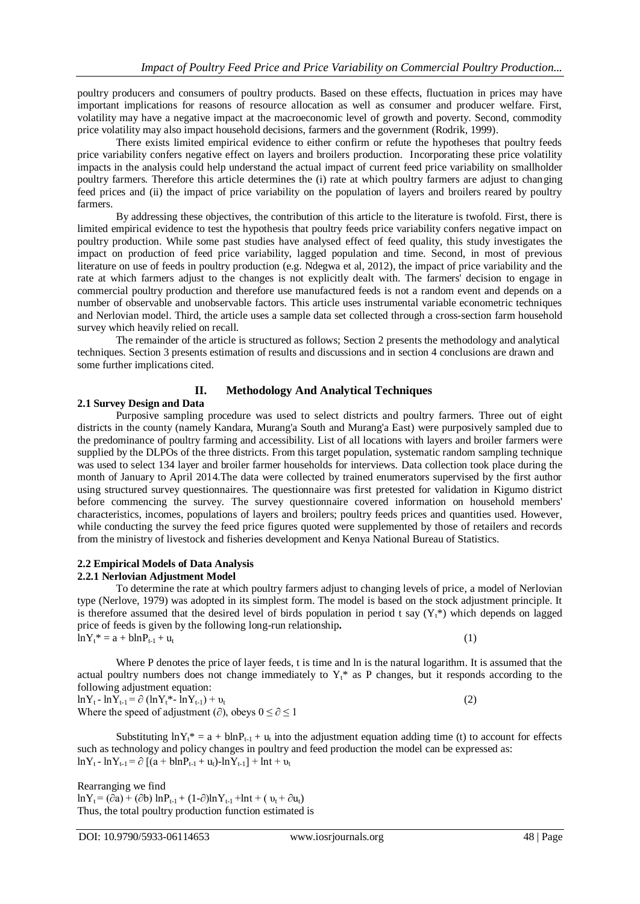poultry producers and consumers of poultry products. Based on these effects, fluctuation in prices may have important implications for reasons of resource allocation as well as consumer and producer welfare. First, volatility may have a negative impact at the macroeconomic level of growth and poverty. Second, commodity price volatility may also impact household decisions, farmers and the government (Rodrik, 1999).

There exists limited empirical evidence to either confirm or refute the hypotheses that poultry feeds price variability confers negative effect on layers and broilers production. Incorporating these price volatility impacts in the analysis could help understand the actual impact of current feed price variability on smallholder poultry farmers. Therefore this article determines the (i) rate at which poultry farmers are adjust to changing feed prices and (ii) the impact of price variability on the population of layers and broilers reared by poultry farmers.

By addressing these objectives, the contribution of this article to the literature is twofold. First, there is limited empirical evidence to test the hypothesis that poultry feeds price variability confers negative impact on poultry production. While some past studies have analysed effect of feed quality, this study investigates the impact on production of feed price variability, lagged population and time. Second, in most of previous literature on use of feeds in poultry production (e.g. Ndegwa et al, 2012), the impact of price variability and the rate at which farmers adjust to the changes is not explicitly dealt with. The farmers' decision to engage in commercial poultry production and therefore use manufactured feeds is not a random event and depends on a number of observable and unobservable factors. This article uses instrumental variable econometric techniques and Nerlovian model. Third, the article uses a sample data set collected through a cross-section farm household survey which heavily relied on recall.

The remainder of the article is structured as follows; Section 2 presents the methodology and analytical techniques. Section 3 presents estimation of results and discussions and in section 4 conclusions are drawn and some further implications cited.

## **II. Methodology And Analytical Techniques**

## **2.1 Survey Design and Data**

Purposive sampling procedure was used to select districts and poultry farmers. Three out of eight districts in the county (namely Kandara, Murang'a South and Murang'a East) were purposively sampled due to the predominance of poultry farming and accessibility. List of all locations with layers and broiler farmers were supplied by the DLPOs of the three districts. From this target population, systematic random sampling technique was used to select 134 layer and broiler farmer households for interviews. Data collection took place during the month of January to April 2014.The data were collected by trained enumerators supervised by the first author using structured survey questionnaires. The questionnaire was first pretested for validation in Kigumo district before commencing the survey. The survey questionnaire covered information on household members' characteristics, incomes, populations of layers and broilers; poultry feeds prices and quantities used. However, while conducting the survey the feed price figures quoted were supplemented by those of retailers and records from the ministry of livestock and fisheries development and Kenya National Bureau of Statistics.

#### **2.2 Empirical Models of Data Analysis 2.2.1 Nerlovian Adjustment Model**

To determine the rate at which poultry farmers adjust to changing levels of price, a model of Nerlovian type (Nerlove, 1979) was adopted in its simplest form. The model is based on the stock adjustment principle. It is therefore assumed that the desired level of birds population in period t say  $(Y<sub>t</sub>*)$  which depends on lagged price of feeds is given by the following long-run relationship**.**  $\ln Y_t^* = a + b \ln P_{t-1} + u_t$  (1)

Where P denotes the price of layer feeds, t is time and ln is the natural logarithm. It is assumed that the actual poultry numbers does not change immediately to  $Y_t^*$  as P changes, but it responds according to the following adjustment equation:

 $\ln Y_t - \ln Y_{t-1} = \partial (\ln Y_t^* - \ln Y_{t-1}) + \nu_t$  (2) Where the speed of adjustment ( $\partial$ ), obeys  $0 \le \partial \le 1$ 

Substituting  $\ln Y_t^* = a + \ln P_{t-1} + u_t$  into the adjustment equation adding time (t) to account for effects such as technology and policy changes in poultry and feed production the model can be expressed as:  $\ln Y_t - \ln Y_{t-1} = \partial \left[ (a + \text{blnP}_{t-1} + u_t) - \ln Y_{t-1} \right] + \ln t + v_t$ 

Rearranging we find  $ln Y_t = (\partial a) + (\partial b) ln P_{t-1} + (1-\partial) ln Y_{t-1} + ln t + (v_t + \partial u_t)$ Thus, the total poultry production function estimated is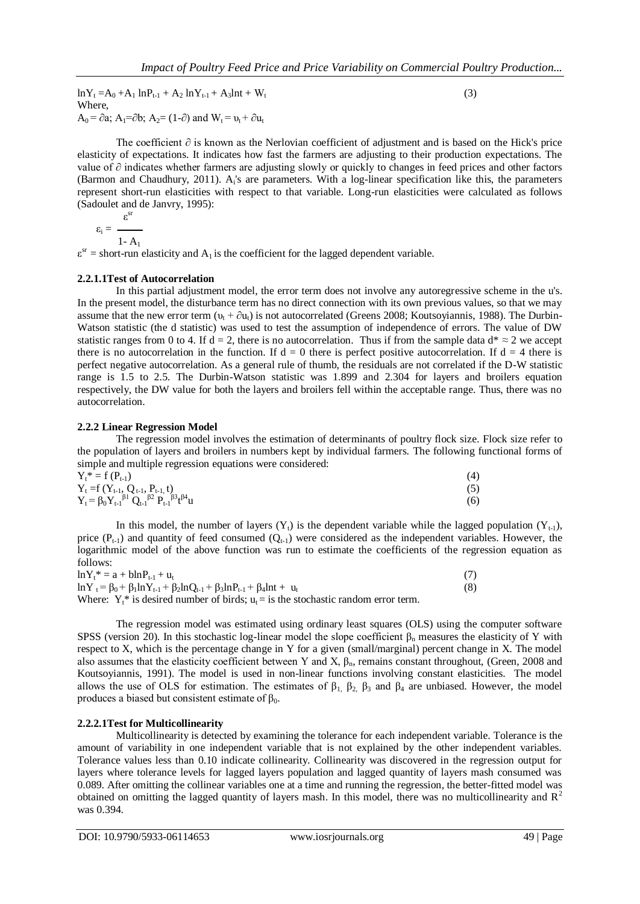$\ln Y_t = A_0 + A_1 \ln P_{t-1} + A_2 \ln Y_{t-1} + A_3 \ln t + W_t$  (3) Where,  $A_0 = \partial a$ ;  $A_1 = \partial b$ ;  $A_2 = (1-\partial)$  and  $W_t = v_t + \partial u_t$ 

The coefficient ∂ is known as the Nerlovian coefficient of adjustment and is based on the Hick's price elasticity of expectations. It indicates how fast the farmers are adjusting to their production expectations. The value of ∂ indicates whether farmers are adjusting slowly or quickly to changes in feed prices and other factors (Barmon and Chaudhury, 2011). A<sub>i</sub>'s are parameters. With a log-linear specification like this, the parameters represent short-run elasticities with respect to that variable. Long-run elasticities were calculated as follows (Sadoulet and de Janvry, 1995):

$$
\epsilon_i = \ \frac{\epsilon^{sr}}{1 - A_1}
$$

 $\varepsilon^{sr}$  = short-run elasticity and A<sub>1</sub> is the coefficient for the lagged dependent variable.

## **2.2.1.1Test of Autocorrelation**

In this partial adjustment model, the error term does not involve any autoregressive scheme in the u's. In the present model, the disturbance term has no direct connection with its own previous values, so that we may assume that the new error term  $(v_t + \partial u_t)$  is not autocorrelated (Greens 2008; Koutsoyiannis, 1988). The Durbin-Watson statistic (the d statistic) was used to test the assumption of independence of errors. The value of DW statistic ranges from 0 to 4. If d = 2, there is no autocorrelation. Thus if from the sample data  $d^* \approx 2$  we accept there is no autocorrelation in the function. If  $d = 0$  there is perfect positive autocorrelation. If  $d = 4$  there is perfect negative autocorrelation. As a general rule of thumb, the residuals are not correlated if the D-W statistic range is 1.5 to 2.5. The Durbin-Watson statistic was 1.899 and 2.304 for layers and broilers equation respectively, the DW value for both the layers and broilers fell within the acceptable range. Thus, there was no autocorrelation.

#### **2.2.2 Linear Regression Model**

The regression model involves the estimation of determinants of poultry flock size. Flock size refer to the population of layers and broilers in numbers kept by individual farmers. The following functional forms of simple and multiple regression equations were considered:

| $Y_t^* = f(P_{t-1})$                                                                                                                   | (4)        |
|----------------------------------------------------------------------------------------------------------------------------------------|------------|
| $Y_t = f(Y_{t-1}, Q_{t-1}, P_{t-1}, t)$<br>$Y_t = \beta_0 Y_{t-1}^{\beta_1} \beta_1 Q_{t-1}^{\beta_2} P_{t-1}^{\beta_3} t^{\beta_4} u$ | (5)<br>(6) |

In this model, the number of layers  $(Y_t)$  is the dependent variable while the lagged population  $(Y_{t-1})$ , price  $(P_{t-1})$  and quantity of feed consumed  $(Q_{t-1})$  were considered as the independent variables. However, the logarithmic model of the above function was run to estimate the coefficients of the regression equation as follows:

| $\ln Y_t^* = a + b \ln P_{t-1} + u_t$                                                                       |     |
|-------------------------------------------------------------------------------------------------------------|-----|
| $\ln Y_t = \beta_0 + \beta_1 \ln Y_{t-1} + \beta_2 \ln Q_{t-1} + \beta_3 \ln P_{t-1} + \beta_4 \ln t + u_t$ | (8) |
| Where: $Y_t^*$ is desired number of birds: $u_t =$ is the stochastic random error term.                     |     |

The regression model was estimated using ordinary least squares (OLS) using the computer software SPSS (version 20). In this stochastic log-linear model the slope coefficient  $\beta_n$  measures the elasticity of Y with respect to X, which is the percentage change in Y for a given (small/marginal) percent change in X. The model also assumes that the elasticity coefficient between Y and X,  $\beta_n$ , remains constant throughout, (Green, 2008 and Koutsoyiannis, 1991). The model is used in non-linear functions involving constant elasticities. The model allows the use of OLS for estimation. The estimates of  $β_1$ ,  $β_2$ ,  $β_3$  and  $β_4$  are unbiased. However, the model produces a biased but consistent estimate of  $β_0$ .

## **2.2.2.1Test for Multicollinearity**

Multicollinearity is detected by examining the tolerance for each independent variable. Tolerance is the amount of variability in one independent variable that is not explained by the other independent variables. Tolerance values less than 0.10 indicate collinearity. Collinearity was discovered in the regression output for layers where tolerance levels for lagged layers population and lagged quantity of layers mash consumed was 0.089. After omitting the collinear variables one at a time and running the regression, the better-fitted model was obtained on omitting the lagged quantity of layers mash. In this model, there was no multicollinearity and  $R<sup>2</sup>$ was 0.394.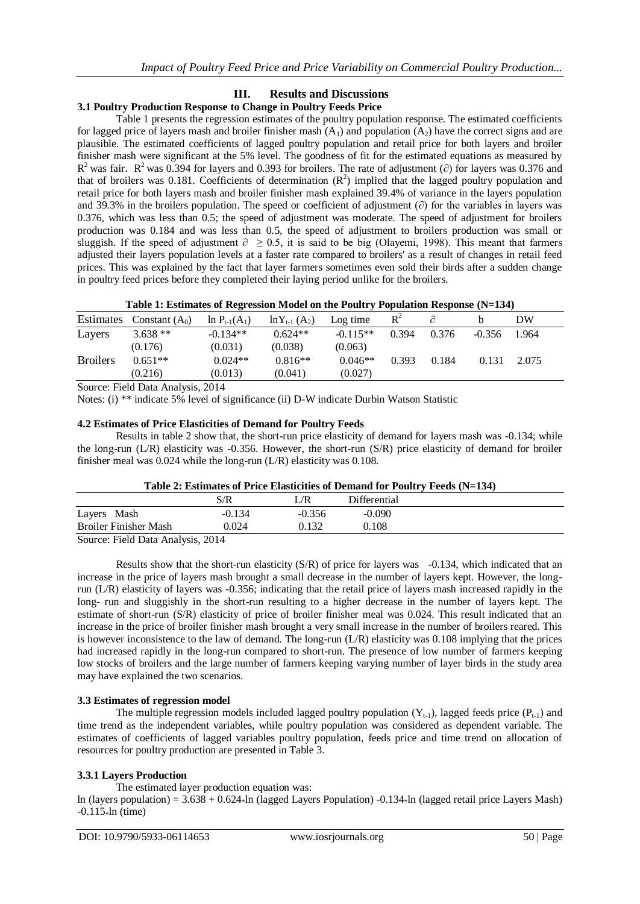# **III. Results and Discussions**

# **3.1 Poultry Production Response to Change in Poultry Feeds Price**

Table 1 presents the regression estimates of the poultry population response. The estimated coefficients for lagged price of layers mash and broiler finisher mash  $(A_1)$  and population  $(A_2)$  have the correct signs and are plausible. The estimated coefficients of lagged poultry population and retail price for both layers and broiler finisher mash were significant at the 5% level. The goodness of fit for the estimated equations as measured by  $R^2$  was fair.  $R^2$  was 0.394 for layers and 0.393 for broilers. The rate of adjustment ( $\partial$ ) for layers was 0.376 and that of broilers was 0.181. Coefficients of determination  $(R^2)$  implied that the lagged poultry population and retail price for both layers mash and broiler finisher mash explained 39.4% of variance in the layers population and 39.3% in the broilers population. The speed or coefficient of adjustment (∂) for the variables in layers was 0.376, which was less than 0.5; the speed of adjustment was moderate. The speed of adjustment for broilers production was 0.184 and was less than 0.5, the speed of adjustment to broilers production was small or sluggish. If the speed of adjustment  $\partial \ge 0.5$ , it is said to be big (Olayemi, 1998). This meant that farmers adjusted their layers population levels at a faster rate compared to broilers' as a result of changes in retail feed prices. This was explained by the fact that layer farmers sometimes even sold their birds after a sudden change in poultry feed prices before they completed their laying period unlike for the broilers.

| Table 1: Estimates of Regression Model on the Poultry Population Response (N=134) |  |
|-----------------------------------------------------------------------------------|--|
|-----------------------------------------------------------------------------------|--|

| Estimates       | Constant $(A_0)$ | $\ln P_{t-1}(A_1)$ | $ln Y_{t-1} (A_2)$ | Log time   | $\mathbf{R}^2$ |       |          | DW    |  |
|-----------------|------------------|--------------------|--------------------|------------|----------------|-------|----------|-------|--|
| Layers          | $3.638**$        | $-0.134**$         | $0.624**$          | $-0.115**$ | 0.394          | 0.376 | $-0.356$ | 1.964 |  |
|                 | (0.176)          | (0.031)            | (0.038)            | (0.063)    |                |       |          |       |  |
| <b>Broilers</b> | $0.651**$        | $0.024**$          | $0.816**$          | $0.046**$  | 0.393          | 0.184 | 0.131    | 2.075 |  |
|                 | (0.216)          | (0.013)            | (0.041)            | (0.027)    |                |       |          |       |  |
| $\sim$          | ______           |                    |                    |            |                |       |          |       |  |

Source: Field Data Analysis, 2014

Notes: (i) \*\* indicate 5% level of significance (ii) D-W indicate Durbin Watson Statistic

## **4.2 Estimates of Price Elasticities of Demand for Poultry Feeds**

Results in table 2 show that, the short-run price elasticity of demand for layers mash was -0.134; while the long-run (L/R) elasticity was -0.356. However, the short-run (S/R) price elasticity of demand for broiler finisher meal was 0.024 while the long-run (L/R) elasticity was 0.108.

| Table 2: Estimates of Price Elasticities of Demand for Poultry Feeds (N=134) |  |  |
|------------------------------------------------------------------------------|--|--|
|                                                                              |  |  |

|                                  | S/R      | Æ        | Differential |  |
|----------------------------------|----------|----------|--------------|--|
| Layers Mash                      | $-0.134$ | $-0.356$ | $-0.090$     |  |
| <b>Broiler Finisher Mash</b>     | 0.024    | 0 132    | 0.108        |  |
| Source: Field Data Analysis 2014 |          |          |              |  |

Source: Field Data Analysis, 2014

Results show that the short-run elasticity (S/R) of price for layers was -0.134, which indicated that an increase in the price of layers mash brought a small decrease in the number of layers kept. However, the longrun (L/R) elasticity of layers was -0.356; indicating that the retail price of layers mash increased rapidly in the long- run and sluggishly in the short-run resulting to a higher decrease in the number of layers kept. The estimate of short-run (S/R) elasticity of price of broiler finisher meal was 0.024. This result indicated that an increase in the price of broiler finisher mash brought a very small increase in the number of broilers reared. This is however inconsistence to the law of demand. The long-run (L/R) elasticity was 0.108 implying that the prices had increased rapidly in the long-run compared to short-run. The presence of low number of farmers keeping low stocks of broilers and the large number of farmers keeping varying number of layer birds in the study area may have explained the two scenarios.

# **3.3 Estimates of regression model**

The multiple regression models included lagged poultry population  $(Y_{t-1})$ , lagged feeds price  $(P_{t-1})$  and time trend as the independent variables, while poultry population was considered as dependent variable. The estimates of coefficients of lagged variables poultry population, feeds price and time trend on allocation of resources for poultry production are presented in Table 3.

# **3.3.1 Layers Production**

The estimated layer production equation was:

ln (layers population) =  $3.638 + 0.624$  ln (lagged Layers Population) -0.134 km (lagged retail price Layers Mash)  $-0.115*ln (time)$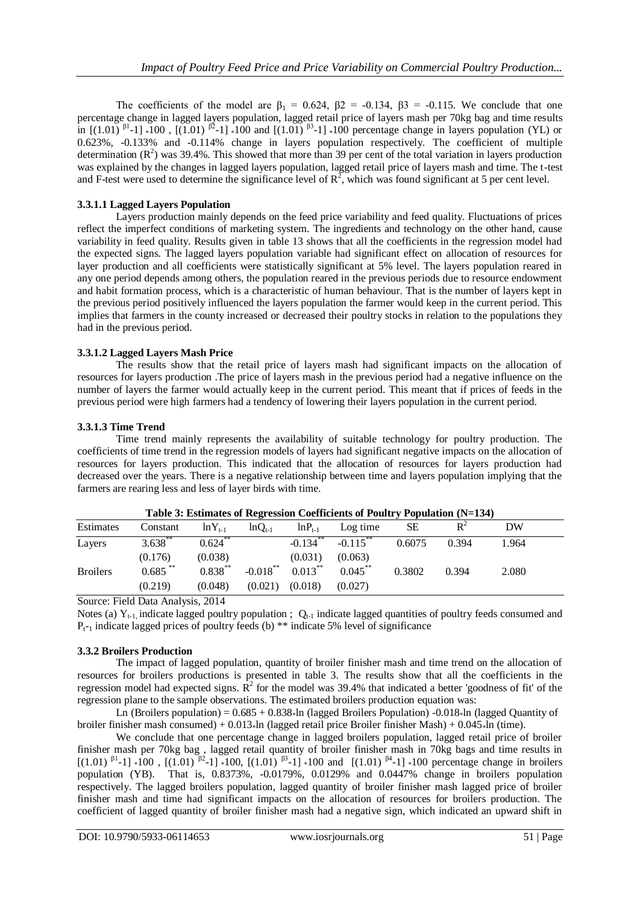The coefficients of the model are  $\beta_1 = 0.624$ ,  $\beta_2 = -0.134$ ,  $\beta_3 = -0.115$ . We conclude that one percentage change in lagged layers population, lagged retail price of layers mash per 70kg bag and time results in  $[(1.01)^{\beta1} - 1]$  \*100,  $[(1.01)^{\beta2} - 1]$  \*100 and  $[(1.01)^{\beta3} - 1]$  \*100 percentage change in layers population (YL) or 0.623%, -0.133% and -0.114% change in layers population respectively. The coefficient of multiple determination  $(R^2)$  was 39.4%. This showed that more than 39 per cent of the total variation in layers production was explained by the changes in lagged layers population, lagged retail price of layers mash and time. The t-test and F-test were used to determine the significance level of  $R^2$ , which was found significant at 5 per cent level.

# **3.3.1.1 Lagged Layers Population**

Layers production mainly depends on the feed price variability and feed quality. Fluctuations of prices reflect the imperfect conditions of marketing system. The ingredients and technology on the other hand, cause variability in feed quality. Results given in table 13 shows that all the coefficients in the regression model had the expected signs. The lagged layers population variable had significant effect on allocation of resources for layer production and all coefficients were statistically significant at 5% level. The layers population reared in any one period depends among others, the population reared in the previous periods due to resource endowment and habit formation process, which is a characteristic of human behaviour. That is the number of layers kept in the previous period positively influenced the layers population the farmer would keep in the current period. This implies that farmers in the county increased or decreased their poultry stocks in relation to the populations they had in the previous period.

# **3.3.1.2 Lagged Layers Mash Price**

The results show that the retail price of layers mash had significant impacts on the allocation of resources for layers production .The price of layers mash in the previous period had a negative influence on the number of layers the farmer would actually keep in the current period. This meant that if prices of feeds in the previous period were high farmers had a tendency of lowering their layers population in the current period.

# **3.3.1.3 Time Trend**

Time trend mainly represents the availability of suitable technology for poultry production. The coefficients of time trend in the regression models of layers had significant negative impacts on the allocation of resources for layers production. This indicated that the allocation of resources for layers production had decreased over the years. There is a negative relationship between time and layers population implying that the farmers are rearing less and less of layer birds with time.

|                 |            |              |             |                        | Table 5. Estimates of Regression Coefficients of 1 ount y 1 optiation $(15-134)$ |        |       |       |  |
|-----------------|------------|--------------|-------------|------------------------|----------------------------------------------------------------------------------|--------|-------|-------|--|
| Estimates       | Constant   | $ln Y_{t-1}$ | $lnQ_{t-1}$ | $ln P_{t-1}$           | Log time                                                                         | SЕ     | $R^2$ | DW    |  |
| Layers          | $3.638***$ | $0.624$ **   |             | $-0.134$ <sup>**</sup> | $-0.115***$                                                                      | 0.6075 | 0.394 | 1.964 |  |
|                 | (0.176)    | (0.038)      |             | (0.031)                | (0.063)                                                                          |        |       |       |  |
| <b>Broilers</b> | $0.685$ ** | $0.838***$   | $-0.018***$ | $0.013***$             | $0.045***$                                                                       | 0.3802 | 0.394 | 2.080 |  |
|                 | (0.219)    | (0.048)      | (0.021)     | (0.018)                | (0.027)                                                                          |        |       |       |  |

**Table 3: Estimates of Regression Coefficients of Poultry Population (N=134)**

Source: Field Data Analysis, 2014

Notes (a)  $Y_{t-1}$  indicate lagged poultry population ;  $Q_{t-1}$  indicate lagged quantities of poultry feeds consumed and  $P_{t-1}$  indicate lagged prices of poultry feeds (b) \*\* indicate 5% level of significance

# **3.3.2 Broilers Production**

The impact of lagged population, quantity of broiler finisher mash and time trend on the allocation of resources for broilers productions is presented in table 3. The results show that all the coefficients in the regression model had expected signs.  $\mathbb{R}^2$  for the model was 39.4% that indicated a better 'goodness of fit' of the regression plane to the sample observations. The estimated broilers production equation was:

Ln (Broilers population) =  $0.685 + 0.838$  In (lagged Broilers Population) - $0.018$  In (lagged Quantity of broiler finisher mash consumed) + 0.013\*ln (lagged retail price Broiler finisher Mash) + 0.045\*ln (time).

We conclude that one percentage change in lagged broilers population, lagged retail price of broiler finisher mash per 70kg bag , lagged retail quantity of broiler finisher mash in 70kg bags and time results in  $[(1.01)$  <sup>β1</sup>-1] \*100,  $[(1.01)$ <sup> $β2$ </sup>-1] \*100,  $[(1.01)$ <sup> $β3$ </sup>-1] \*100 and  $[(1.01)$ <sup> $β4$ </sup>-1] \*100 percentage change in broilers population (YB). That is, 0.8373%, -0.0179%, 0.0129% and 0.0447% change in broilers population respectively. The lagged broilers population, lagged quantity of broiler finisher mash lagged price of broiler finisher mash and time had significant impacts on the allocation of resources for broilers production. The coefficient of lagged quantity of broiler finisher mash had a negative sign, which indicated an upward shift in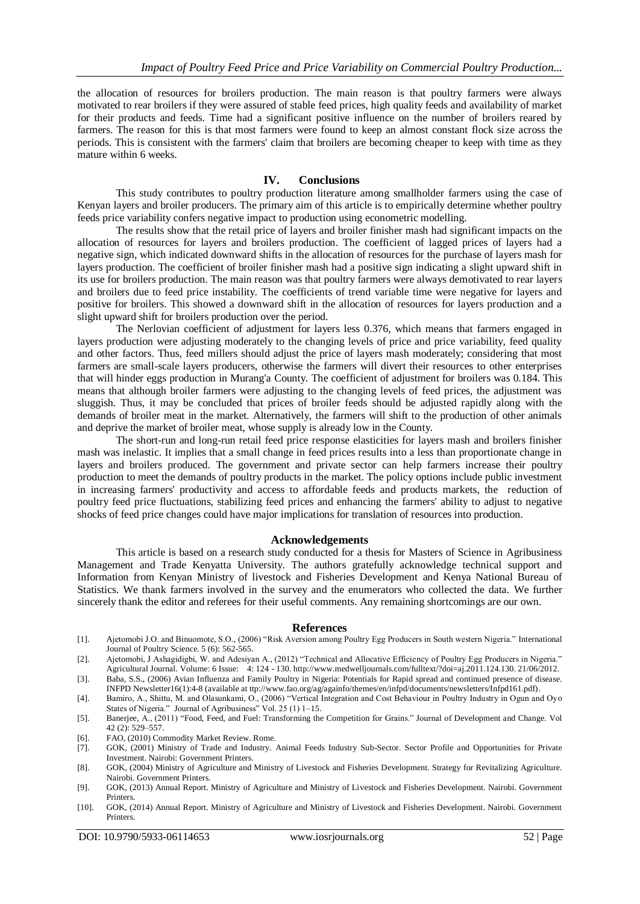the allocation of resources for broilers production. The main reason is that poultry farmers were always motivated to rear broilers if they were assured of stable feed prices, high quality feeds and availability of market for their products and feeds. Time had a significant positive influence on the number of broilers reared by farmers. The reason for this is that most farmers were found to keep an almost constant flock size across the periods. This is consistent with the farmers' claim that broilers are becoming cheaper to keep with time as they mature within 6 weeks.

## **IV. Conclusions**

This study contributes to poultry production literature among smallholder farmers using the case of Kenyan layers and broiler producers. The primary aim of this article is to empirically determine whether poultry feeds price variability confers negative impact to production using econometric modelling.

The results show that the retail price of layers and broiler finisher mash had significant impacts on the allocation of resources for layers and broilers production. The coefficient of lagged prices of layers had a negative sign, which indicated downward shifts in the allocation of resources for the purchase of layers mash for layers production. The coefficient of broiler finisher mash had a positive sign indicating a slight upward shift in its use for broilers production. The main reason was that poultry farmers were always demotivated to rear layers and broilers due to feed price instability. The coefficients of trend variable time were negative for layers and positive for broilers. This showed a downward shift in the allocation of resources for layers production and a slight upward shift for broilers production over the period.

The Nerlovian coefficient of adjustment for layers less 0.376, which means that farmers engaged in layers production were adjusting moderately to the changing levels of price and price variability, feed quality and other factors. Thus, feed millers should adjust the price of layers mash moderately; considering that most farmers are small-scale layers producers, otherwise the farmers will divert their resources to other enterprises that will hinder eggs production in Murang'a County. The coefficient of adjustment for broilers was 0.184. This means that although broiler farmers were adjusting to the changing levels of feed prices, the adjustment was sluggish. Thus, it may be concluded that prices of broiler feeds should be adjusted rapidly along with the demands of broiler meat in the market. Alternatively, the farmers will shift to the production of other animals and deprive the market of broiler meat, whose supply is already low in the County.

The short-run and long-run retail feed price response elasticities for layers mash and broilers finisher mash was inelastic. It implies that a small change in feed prices results into a less than proportionate change in layers and broilers produced. The government and private sector can help farmers increase their poultry production to meet the demands of poultry products in the market. The policy options include public investment in increasing farmers' productivity and access to affordable feeds and products markets, the reduction of poultry feed price fluctuations, stabilizing feed prices and enhancing the farmers' ability to adjust to negative shocks of feed price changes could have major implications for translation of resources into production.

#### **Acknowledgements**

This article is based on a research study conducted for a thesis for Masters of Science in Agribusiness Management and Trade Kenyatta University. The authors gratefully acknowledge technical support and Information from Kenyan Ministry of livestock and Fisheries Development and Kenya National Bureau of Statistics. We thank farmers involved in the survey and the enumerators who collected the data. We further sincerely thank the editor and referees for their useful comments. Any remaining shortcomings are our own.

#### **References**

- [1]. Ajetomobi J.O. and Binuomote, S.O., (2006) "Risk Aversion among Poultry Egg Producers in South western Nigeria." International Journal of Poultry Science. 5 (6): 562-565.
- [2]. Ajetomobi, J Ashagidigbi, W. and Adesiyan A., (2012) "Technical and Allocative Efficiency of Poultry Egg Producers in Nigeria." Agricultural Journal. Volume: 6 Issue: 4: 124 - 130. http://www.medwelljournals.com/fulltext/?doi=aj.2011.124.130. 21/06/2012.
- [3]. Baba, S.S., (2006) Avian Influenza and Family Poultry in Nigeria: Potentials for Rapid spread and continued presence of disease. INFPD Newsletter16(1):4-8 (available at ttp://www.fao.org/ag/againfo/themes/en/infpd/documents/newsletters/Infpd161.pdf).
- [4]. Bamiro, A., Shittu, M. and Olasunkami, O., (2006) "Vertical Integration and Cost Behaviour in Poultry Industry in Ogun and Oyo States of Nigeria." Journal of Agribusiness" Vol. 25 (1) 1–15.
- [5]. Banerjee, A., (2011) "Food, Feed, and Fuel: Transforming the Competition for Grains." Journal of Development and Change. Vol 42 (2): 529–557.
- [6]. FAO, (2010) Commodity Market Review. Rome.
- [7]. GOK, (2001) Ministry of Trade and Industry. Animal Feeds Industry Sub-Sector. Sector Profile and Opportunities for Private Investment. Nairobi: Government Printers.
- [8]. GOK, (2004) Ministry of Agriculture and Ministry of Livestock and Fisheries Development. Strategy for Revitalizing Agriculture. Nairobi. Government Printers.
- [9]. GOK, (2013) Annual Report. Ministry of Agriculture and Ministry of Livestock and Fisheries Development. Nairobi. Government Printers.
- [10]. GOK, (2014) Annual Report. Ministry of Agriculture and Ministry of Livestock and Fisheries Development. Nairobi. Government Printers.